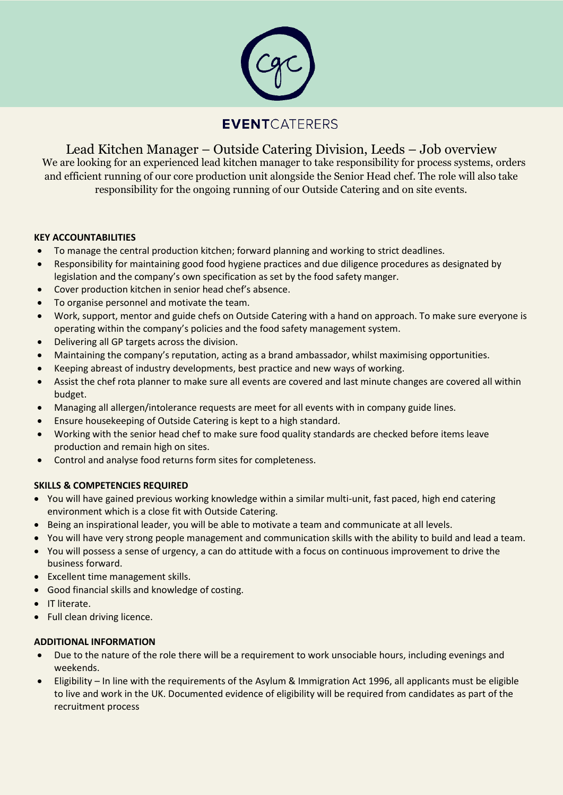

# **EVENT**CATERERS

Lead Kitchen Manager – Outside Catering Division, Leeds – Job overview We are looking for an experienced lead kitchen manager to take responsibility for process systems, orders and efficient running of our core production unit alongside the Senior Head chef. The role will also take responsibility for the ongoing running of our Outside Catering and on site events.

## **KEY ACCOUNTABILITIES**

- To manage the central production kitchen; forward planning and working to strict deadlines.
- Responsibility for maintaining good food hygiene practices and due diligence procedures as designated by legislation and the company's own specification as set by the food safety manger.
- Cover production kitchen in senior head chef's absence.
- To organise personnel and motivate the team.
- Work, support, mentor and guide chefs on Outside Catering with a hand on approach. To make sure everyone is operating within the company's policies and the food safety management system.
- Delivering all GP targets across the division.
- Maintaining the company's reputation, acting as a brand ambassador, whilst maximising opportunities.
- Keeping abreast of industry developments, best practice and new ways of working.
- Assist the chef rota planner to make sure all events are covered and last minute changes are covered all within budget.
- Managing all allergen/intolerance requests are meet for all events with in company guide lines.
- Ensure housekeeping of Outside Catering is kept to a high standard.
- Working with the senior head chef to make sure food quality standards are checked before items leave production and remain high on sites.
- Control and analyse food returns form sites for completeness.

### **SKILLS & COMPETENCIES REQUIRED**

- You will have gained previous working knowledge within a similar multi-unit, fast paced, high end catering environment which is a close fit with Outside Catering.
- Being an inspirational leader, you will be able to motivate a team and communicate at all levels.
- You will have very strong people management and communication skills with the ability to build and lead a team.
- You will possess a sense of urgency, a can do attitude with a focus on continuous improvement to drive the business forward.
- Excellent time management skills.
- Good financial skills and knowledge of costing.
- **•** IT literate.
- Full clean driving licence.

### **ADDITIONAL INFORMATION**

- Due to the nature of the role there will be a requirement to work unsociable hours, including evenings and weekends.
- Eligibility In line with the requirements of the Asylum & Immigration Act 1996, all applicants must be eligible to live and work in the UK. Documented evidence of eligibility will be required from candidates as part of the recruitment process